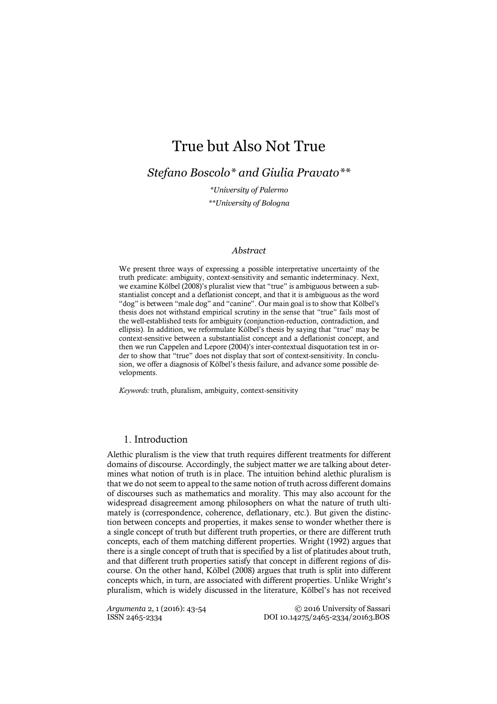# True but Also Not True

*Stefano Boscolo\* and Giulia Pravato\*\**

*\*University of Palermo \*\*University of Bologna*

## *Abstract*

We present three ways of expressing a possible interpretative uncertainty of the truth predicate: ambiguity, context-sensitivity and semantic indeterminacy. Next, we examine Kölbel (2008)'s pluralist view that "true" is ambiguous between a substantialist concept and a deflationist concept, and that it is ambiguous as the word "dog" is between "male dog" and "canine". Our main goal is to show that Kölbel's thesis does not withstand empirical scrutiny in the sense that "true" fails most of the well-established tests for ambiguity (conjunction-reduction, contradiction, and ellipsis). In addition, we reformulate Kölbel's thesis by saying that "true" may be context-sensitive between a substantialist concept and a deflationist concept, and then we run Cappelen and Lepore (2004)'s inter-contextual disquotation test in order to show that "true" does not display that sort of context-sensitivity. In conclusion, we offer a diagnosis of Kölbel's thesis failure, and advance some possible developments.

*Keywords:* truth, pluralism, ambiguity, context-sensitivity

## 1. Introduction

Alethic pluralism is the view that truth requires different treatments for different domains of discourse. Accordingly, the subject matter we are talking about determines what notion of truth is in place. The intuition behind alethic pluralism is that we do not seem to appeal to the same notion of truth across different domains of discourses such as mathematics and morality. This may also account for the widespread disagreement among philosophers on what the nature of truth ultimately is (correspondence, coherence, deflationary, etc.). But given the distinction between concepts and properties, it makes sense to wonder whether there is a single concept of truth but different truth properties, or there are different truth concepts, each of them matching different properties. Wright (1992) argues that there is a single concept of truth that is specified by a list of platitudes about truth, and that different truth properties satisfy that concept in different regions of discourse. On the other hand, Kölbel (2008) argues that truth is split into different concepts which, in turn, are associated with different properties. Unlike Wright's pluralism, which is widely discussed in the literature, Kölbel's has not received

*Argumenta* 2, 1 (2016): 43-54 © 2016 University of Sassari ISSN 2465-2334 DOI 10.14275/2465-2334/20163.BOS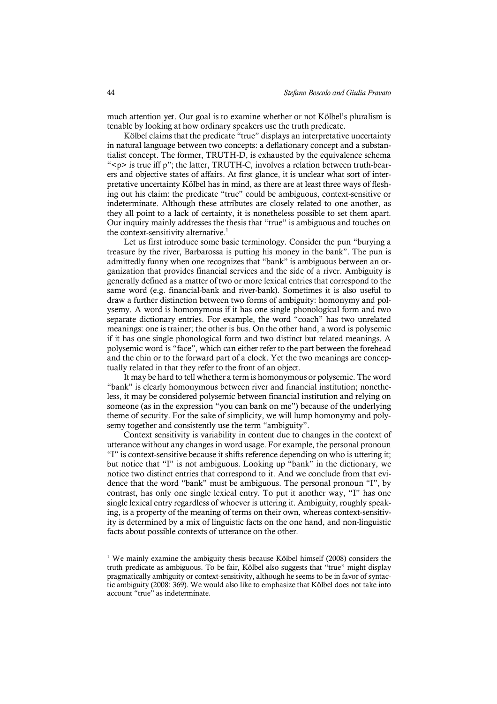much attention yet. Our goal is to examine whether or not Kölbel's pluralism is tenable by looking at how ordinary speakers use the truth predicate.

Kölbel claims that the predicate "true" displays an interpretative uncertainty in natural language between two concepts: a deflationary concept and a substantialist concept. The former, TRUTH-D, is exhausted by the equivalence schema "<p> is true iff p"; the latter, TRUTH-C, involves a relation between truth-bearers and objective states of affairs. At first glance, it is unclear what sort of interpretative uncertainty Kölbel has in mind, as there are at least three ways of fleshing out his claim: the predicate "true" could be ambiguous, context-sensitive or indeterminate. Although these attributes are closely related to one another, as they all point to a lack of certainty, it is nonetheless possible to set them apart. Our inquiry mainly addresses the thesis that "true" is ambiguous and touches on the context-sensitivity alternative.<sup>1</sup>

Let us first introduce some basic terminology. Consider the pun "burying a treasure by the river, Barbarossa is putting his money in the bank". The pun is admittedly funny when one recognizes that "bank" is ambiguous between an organization that provides financial services and the side of a river. Ambiguity is generally defined as a matter of two or more lexical entries that correspond to the same word (e.g. financial-bank and river-bank). Sometimes it is also useful to draw a further distinction between two forms of ambiguity: homonymy and polysemy. A word is homonymous if it has one single phonological form and two separate dictionary entries. For example, the word "coach" has two unrelated meanings: one is trainer; the other is bus. On the other hand, a word is polysemic if it has one single phonological form and two distinct but related meanings. A polysemic word is "face", which can either refer to the part between the forehead and the chin or to the forward part of a clock. Yet the two meanings are conceptually related in that they refer to the front of an object.

It may be hard to tell whether a term is homonymous or polysemic. The word "bank" is clearly homonymous between river and financial institution; nonetheless, it may be considered polysemic between financial institution and relying on someone (as in the expression "you can bank on me") because of the underlying theme of security. For the sake of simplicity, we will lump homonymy and polysemy together and consistently use the term "ambiguity".

Context sensitivity is variability in content due to changes in the context of utterance without any changes in word usage. For example, the personal pronoun "I" is context-sensitive because it shifts reference depending on who is uttering it; but notice that "I" is not ambiguous. Looking up "bank" in the dictionary, we notice two distinct entries that correspond to it. And we conclude from that evidence that the word "bank" must be ambiguous. The personal pronoun "I", by contrast, has only one single lexical entry. To put it another way, "I" has one single lexical entry regardless of whoever is uttering it. Ambiguity, roughly speaking, is a property of the meaning of terms on their own, whereas context-sensitivity is determined by a mix of linguistic facts on the one hand, and non-linguistic facts about possible contexts of utterance on the other.

<sup>&</sup>lt;sup>1</sup> We mainly examine the ambiguity thesis because Kölbel himself (2008) considers the truth predicate as ambiguous. To be fair, Kölbel also suggests that "true" might display pragmatically ambiguity or context-sensitivity, although he seems to be in favor of syntactic ambiguity (2008: 369). We would also like to emphasize that Kölbel does not take into account "true" as indeterminate.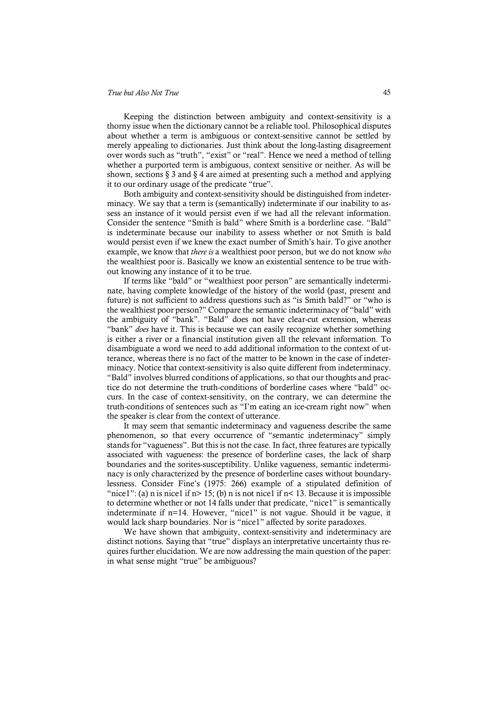#### *True but Also Not True* 45

Keeping the distinction between ambiguity and context-sensitivity is a thorny issue when the dictionary cannot be a reliable tool. Philosophical disputes about whether a term is ambiguous or context-sensitive cannot be settled by merely appealing to dictionaries. Just think about the long-lasting disagreement over words such as "truth", "exist" or "real". Hence we need a method of telling whether a purported term is ambiguous, context sensitive or neither. As will be shown, sections § 3 and § 4 are aimed at presenting such a method and applying it to our ordinary usage of the predicate "true".

Both ambiguity and context-sensitivity should be distinguished from indeterminacy. We say that a term is (semantically) indeterminate if our inability to assess an instance of it would persist even if we had all the relevant information. Consider the sentence "Smith is bald" where Smith is a borderline case. "Bald" is indeterminate because our inability to assess whether or not Smith is bald would persist even if we knew the exact number of Smith's hair. To give another example, we know that *there is* a wealthiest poor person, but we do not know *who* the wealthiest poor is. Basically we know an existential sentence to be true without knowing any instance of it to be true.

If terms like "bald" or "wealthiest poor person" are semantically indeterminate, having complete knowledge of the history of the world (past, present and future) is not sufficient to address questions such as "is Smith bald?" or "who is the wealthiest poor person?" Compare the semantic indeterminacy of "bald" with the ambiguity of "bank". "Bald" does not have clear-cut extension, whereas "bank" *does* have it. This is because we can easily recognize whether something is either a river or a financial institution given all the relevant information. To disambiguate a word we need to add additional information to the context of utterance, whereas there is no fact of the matter to be known in the case of indeterminacy. Notice that context-sensitivity is also quite different from indeterminacy. "Bald" involves blurred conditions of applications, so that our thoughts and practice do not determine the truth-conditions of borderline cases where "bald" occurs. In the case of context-sensitivity, on the contrary, we can determine the truth-conditions of sentences such as "I'm eating an ice-cream right now" when the speaker is clear from the context of utterance.

It may seem that semantic indeterminacy and vagueness describe the same phenomenon, so that every occurrence of "semantic indeterminacy" simply stands for "vagueness". But this is not the case. In fact, three features are typically associated with vagueness: the presence of borderline cases, the lack of sharp boundaries and the sorites-susceptibility. Unlike vagueness, semantic indeterminacy is only characterized by the presence of borderline cases without boundarylessness. Consider Fine's (1975: 266) example of a stipulated definition of "nice1": (a) n is nice1 if  $n > 15$ ; (b) n is not nice1 if  $n < 13$ . Because it is impossible to determine whether or not 14 falls under that predicate, "nice1" is semantically indeterminate if n=14. However, "nice1" is not vague. Should it be vague, it would lack sharp boundaries. Nor is "nice1" affected by sorite paradoxes.

We have shown that ambiguity, context-sensitivity and indeterminacy are distinct notions. Saying that "true" displays an interpretative uncertainty thus requires further elucidation. We are now addressing the main question of the paper: in what sense might "true" be ambiguous?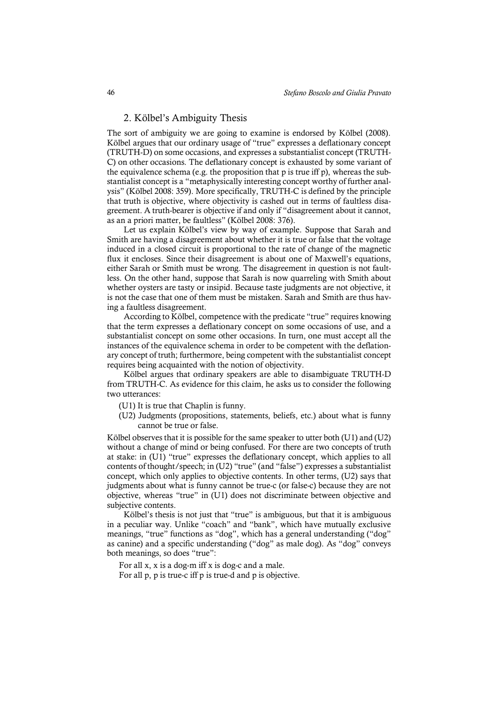## 2. Kölbel's Ambiguity Thesis

The sort of ambiguity we are going to examine is endorsed by Kölbel (2008). Kölbel argues that our ordinary usage of "true" expresses a deflationary concept (TRUTH-D) on some occasions, and expresses a substantialist concept (TRUTH-C) on other occasions. The deflationary concept is exhausted by some variant of the equivalence schema (e.g. the proposition that p is true iff p), whereas the substantialist concept is a "metaphysically interesting concept worthy of further analysis" (Kölbel 2008: 359). More specifically, TRUTH-C is defined by the principle that truth is objective, where objectivity is cashed out in terms of faultless disagreement. A truth-bearer is objective if and only if "disagreement about it cannot, as an a priori matter, be faultless" (Kölbel 2008: 376).

Let us explain Kölbel's view by way of example. Suppose that Sarah and Smith are having a disagreement about whether it is true or false that the voltage induced in a closed circuit is proportional to the rate of change of the magnetic flux it encloses. Since their disagreement is about one of Maxwell's equations, either Sarah or Smith must be wrong. The disagreement in question is not faultless. On the other hand, suppose that Sarah is now quarreling with Smith about whether oysters are tasty or insipid. Because taste judgments are not objective, it is not the case that one of them must be mistaken. Sarah and Smith are thus having a faultless disagreement.

According to Kölbel, competence with the predicate "true" requires knowing that the term expresses a deflationary concept on some occasions of use, and a substantialist concept on some other occasions. In turn, one must accept all the instances of the equivalence schema in order to be competent with the deflationary concept of truth; furthermore, being competent with the substantialist concept requires being acquainted with the notion of objectivity.

Kölbel argues that ordinary speakers are able to disambiguate TRUTH-D from TRUTH-C. As evidence for this claim, he asks us to consider the following two utterances:

- (U1) It is true that Chaplin is funny.
- (U2) Judgments (propositions, statements, beliefs, etc.) about what is funny cannot be true or false.

Kölbel observes that it is possible for the same speaker to utter both (U1) and (U2) without a change of mind or being confused. For there are two concepts of truth at stake: in (U1) "true" expresses the deflationary concept, which applies to all contents of thought/speech; in (U2) "true" (and "false") expresses a substantialist concept, which only applies to objective contents. In other terms, (U2) says that judgments about what is funny cannot be true-c (or false-c) because they are not objective, whereas "true" in (U1) does not discriminate between objective and subjective contents.

Kölbel's thesis is not just that "true" is ambiguous, but that it is ambiguous in a peculiar way. Unlike "coach" and "bank", which have mutually exclusive meanings, "true" functions as "dog", which has a general understanding ("dog" as canine) and a specific understanding ("dog" as male dog). As "dog" conveys both meanings, so does "true":

For all x, x is a dog-m iff x is dog-c and a male.

For all p, p is true-c iff p is true-d and p is objective.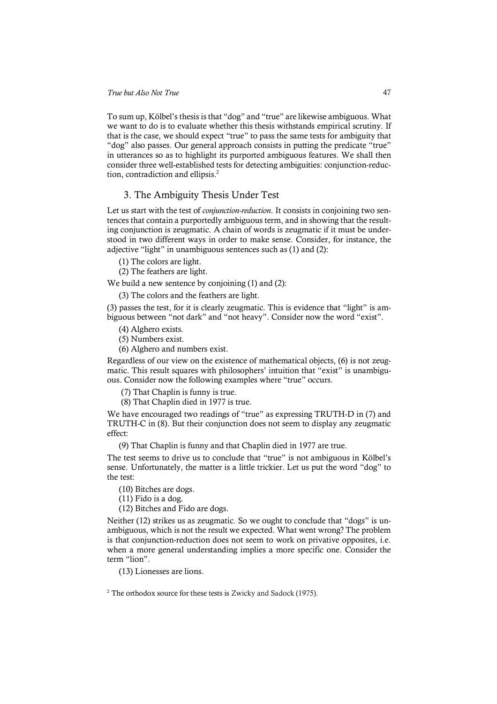To sum up, Kölbel's thesis is that "dog" and "true" are likewise ambiguous. What we want to do is to evaluate whether this thesis withstands empirical scrutiny. If that is the case, we should expect "true" to pass the same tests for ambiguity that "dog" also passes. Our general approach consists in putting the predicate "true" in utterances so as to highlight its purported ambiguous features. We shall then consider three well-established tests for detecting ambiguities: conjunction-reduction, contradiction and ellipsis. 2

# 3. The Ambiguity Thesis Under Test

Let us start with the test of *conjunction-reduction*. It consists in conjoining two sentences that contain a purportedly ambiguous term, and in showing that the resulting conjunction is zeugmatic. A chain of words is zeugmatic if it must be understood in two different ways in order to make sense. Consider, for instance, the adjective "light" in unambiguous sentences such as (1) and (2):

(1) The colors are light.

(2) The feathers are light.

We build a new sentence by conjoining (1) and (2):

(3) The colors and the feathers are light.

(3) passes the test, for it is clearly zeugmatic. This is evidence that "light" is ambiguous between "not dark" and "not heavy". Consider now the word "exist".

(4) Alghero exists.

(5) Numbers exist.

(6) Alghero and numbers exist.

Regardless of our view on the existence of mathematical objects, (6) is not zeugmatic. This result squares with philosophers' intuition that "exist" is unambiguous. Consider now the following examples where "true" occurs.

(7) That Chaplin is funny is true.

(8) That Chaplin died in 1977 is true.

We have encouraged two readings of "true" as expressing TRUTH-D in (7) and TRUTH-C in (8). But their conjunction does not seem to display any zeugmatic effect:

(9) That Chaplin is funny and that Chaplin died in 1977 are true.

The test seems to drive us to conclude that "true" is not ambiguous in Kölbel's sense. Unfortunately, the matter is a little trickier. Let us put the word "dog" to the test:

(10) Bitches are dogs.

(11) Fido is a dog.

(12) Bitches and Fido are dogs.

Neither (12) strikes us as zeugmatic. So we ought to conclude that "dogs" is unambiguous, which is not the result we expected. What went wrong? The problem is that conjunction-reduction does not seem to work on privative opposites, i.e. when a more general understanding implies a more specific one. Consider the term "lion".

(13) Lionesses are lions.

<sup>2</sup> The orthodox source for these tests is Zwicky and Sadock (1975).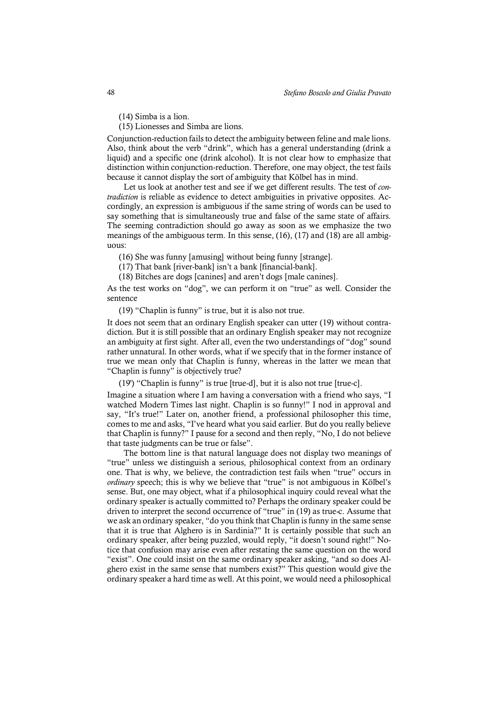(14) Simba is a lion.

(15) Lionesses and Simba are lions.

Conjunction-reduction fails to detect the ambiguity between feline and male lions. Also, think about the verb "drink", which has a general understanding (drink a liquid) and a specific one (drink alcohol). It is not clear how to emphasize that distinction within conjunction-reduction. Therefore, one may object, the test fails because it cannot display the sort of ambiguity that Kölbel has in mind.

Let us look at another test and see if we get different results. The test of *contradiction* is reliable as evidence to detect ambiguities in privative opposites. Accordingly, an expression is ambiguous if the same string of words can be used to say something that is simultaneously true and false of the same state of affairs. The seeming contradiction should go away as soon as we emphasize the two meanings of the ambiguous term. In this sense, (16), (17) and (18) are all ambiguous:

(16) She was funny [amusing] without being funny [strange].

(17) That bank [river-bank] isn't a bank [financial-bank].

(18) Bitches are dogs [canines] and aren't dogs [male canines].

As the test works on "dog", we can perform it on "true" as well. Consider the sentence

(19) "Chaplin is funny" is true, but it is also not true.

It does not seem that an ordinary English speaker can utter (19) without contradiction. But it is still possible that an ordinary English speaker may not recognize an ambiguity at first sight. After all, even the two understandings of "dog" sound rather unnatural. In other words, what if we specify that in the former instance of true we mean only that Chaplin is funny, whereas in the latter we mean that "Chaplin is funny" is objectively true?

(19') "Chaplin is funny" is true [true-d], but it is also not true [true-c].

Imagine a situation where I am having a conversation with a friend who says, "I watched Modern Times last night. Chaplin is so funny!" I nod in approval and say, "It's true!" Later on, another friend, a professional philosopher this time, comes to me and asks, "I've heard what you said earlier. But do you really believe that Chaplin is funny?" I pause for a second and then reply, "No, I do not believe that taste judgments can be true or false".

The bottom line is that natural language does not display two meanings of "true" unless we distinguish a serious, philosophical context from an ordinary one. That is why, we believe, the contradiction test fails when "true" occurs in *ordinary* speech; this is why we believe that "true" is not ambiguous in Kölbel's sense. But, one may object, what if a philosophical inquiry could reveal what the ordinary speaker is actually committed to? Perhaps the ordinary speaker could be driven to interpret the second occurrence of "true" in (19) as true-c. Assume that we ask an ordinary speaker, "do you think that Chaplin is funny in the same sense that it is true that Alghero is in Sardinia?" It is certainly possible that such an ordinary speaker, after being puzzled, would reply, "it doesn't sound right!" Notice that confusion may arise even after restating the same question on the word "exist". One could insist on the same ordinary speaker asking, "and so does Alghero exist in the same sense that numbers exist?" This question would give the ordinary speaker a hard time as well. At this point, we would need a philosophical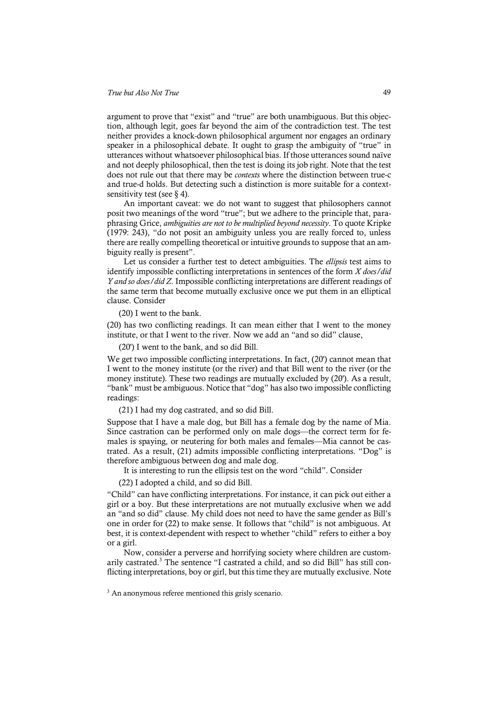argument to prove that "exist" and "true" are both unambiguous. But this objection, although legit, goes far beyond the aim of the contradiction test. The test neither provides a knock-down philosophical argument nor engages an ordinary speaker in a philosophical debate. It ought to grasp the ambiguity of "true" in utterances without whatsoever philosophical bias. If those utterances sound naïve and not deeply philosophical, then the test is doing its job right. Note that the test does not rule out that there may be *contexts* where the distinction between true-c and true-d holds. But detecting such a distinction is more suitable for a contextsensitivity test (see  $\S$  4).

An important caveat: we do not want to suggest that philosophers cannot posit two meanings of the word "true"; but we adhere to the principle that, paraphrasing Grice, *ambiguities are not to be multiplied beyond necessity*. To quote Kripke (1979: 243), "do not posit an ambiguity unless you are really forced to, unless there are really compelling theoretical or intuitive grounds to suppose that an ambiguity really is present".

Let us consider a further test to detect ambiguities. The *ellipsis* test aims to identify impossible conflicting interpretations in sentences of the form *X does/did Y and so does/did Z*. Impossible conflicting interpretations are different readings of the same term that become mutually exclusive once we put them in an elliptical clause. Consider

(20) I went to the bank.

(20) has two conflicting readings. It can mean either that I went to the money institute, or that I went to the river. Now we add an "and so did" clause,

(20') I went to the bank, and so did Bill.

We get two impossible conflicting interpretations. In fact, (20') cannot mean that I went to the money institute (or the river) and that Bill went to the river (or the money institute). These two readings are mutually excluded by (20'). As a result, "bank" must be ambiguous. Notice that "dog" has also two impossible conflicting readings:

(21) I had my dog castrated, and so did Bill.

Suppose that I have a male dog, but Bill has a female dog by the name of Mia. Since castration can be performed only on male dogs—the correct term for females is spaying, or neutering for both males and females—Mia cannot be castrated. As a result, (21) admits impossible conflicting interpretations. "Dog" is therefore ambiguous between dog and male dog.

It is interesting to run the ellipsis test on the word "child". Consider

(22) I adopted a child, and so did Bill.

"Child" can have conflicting interpretations. For instance, it can pick out either a girl or a boy. But these interpretations are not mutually exclusive when we add an "and so did" clause. My child does not need to have the same gender as Bill's one in order for (22) to make sense. It follows that "child" is not ambiguous. At best, it is context-dependent with respect to whether "child" refers to either a boy or a girl.

Now, consider a perverse and horrifying society where children are customarily castrated. <sup>3</sup> The sentence "I castrated a child, and so did Bill" has still conflicting interpretations, boy or girl, but this time they are mutually exclusive. Note

<sup>3</sup> An anonymous referee mentioned this grisly scenario.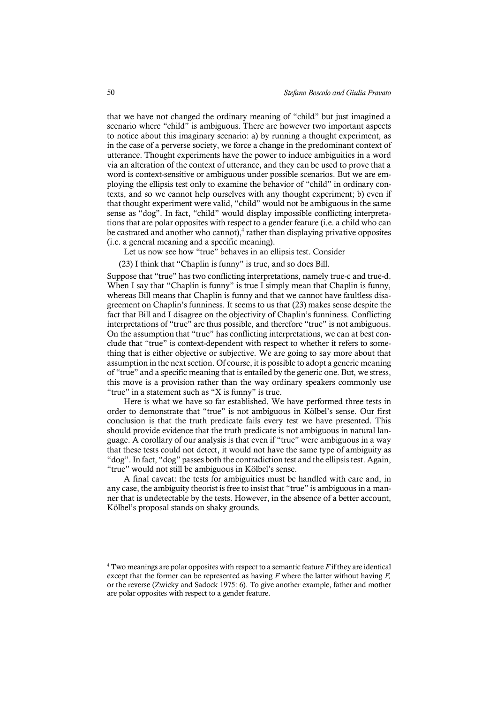that we have not changed the ordinary meaning of "child" but just imagined a scenario where "child" is ambiguous. There are however two important aspects to notice about this imaginary scenario: a) by running a thought experiment, as in the case of a perverse society, we force a change in the predominant context of utterance. Thought experiments have the power to induce ambiguities in a word via an alteration of the context of utterance, and they can be used to prove that a word is context-sensitive or ambiguous under possible scenarios. But we are employing the ellipsis test only to examine the behavior of "child" in ordinary contexts, and so we cannot help ourselves with any thought experiment; b) even if that thought experiment were valid, "child" would not be ambiguous in the same sense as "dog". In fact, "child" would display impossible conflicting interpretations that are polar opposites with respect to a gender feature (i.e. a child who can be castrated and another who cannot), $\frac{4}{3}$  rather than displaying privative opposites (i.e. a general meaning and a specific meaning).

Let us now see how "true" behaves in an ellipsis test. Consider

(23) I think that "Chaplin is funny" is true, and so does Bill.

Suppose that "true" has two conflicting interpretations, namely true-c and true-d. When I say that "Chaplin is funny" is true I simply mean that Chaplin is funny, whereas Bill means that Chaplin is funny and that we cannot have faultless disagreement on Chaplin's funniness. It seems to us that (23) makes sense despite the fact that Bill and I disagree on the objectivity of Chaplin's funniness. Conflicting interpretations of "true" are thus possible, and therefore "true" is not ambiguous. On the assumption that "true" has conflicting interpretations, we can at best conclude that "true" is context-dependent with respect to whether it refers to something that is either objective or subjective. We are going to say more about that assumption in the next section. Of course, it is possible to adopt a generic meaning of "true" and a specific meaning that is entailed by the generic one. But, we stress, this move is a provision rather than the way ordinary speakers commonly use "true" in a statement such as "X is funny" is true.

Here is what we have so far established. We have performed three tests in order to demonstrate that "true" is not ambiguous in Kölbel's sense. Our first conclusion is that the truth predicate fails every test we have presented. This should provide evidence that the truth predicate is not ambiguous in natural language. A corollary of our analysis is that even if "true" were ambiguous in a way that these tests could not detect, it would not have the same type of ambiguity as "dog". In fact, "dog" passes both the contradiction test and the ellipsis test. Again, "true" would not still be ambiguous in Kölbel's sense.

A final caveat: the tests for ambiguities must be handled with care and, in any case, the ambiguity theorist is free to insist that "true" is ambiguous in a manner that is undetectable by the tests. However, in the absence of a better account, Kölbel's proposal stands on shaky grounds.

<sup>4</sup> Two meanings are polar opposites with respect to a semantic feature *F* if they are identical except that the former can be represented as having *F* where the latter without having *F,* or the reverse (Zwicky and Sadock 1975: 6). To give another example, father and mother are polar opposites with respect to a gender feature.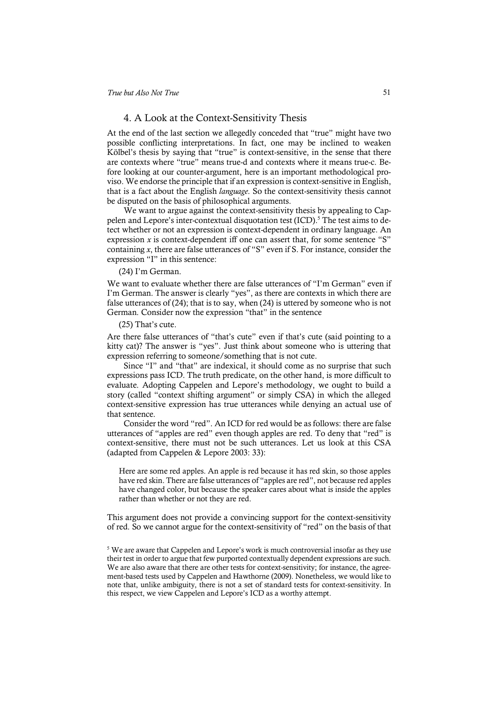## 4. A Look at the Context-Sensitivity Thesis

At the end of the last section we allegedly conceded that "true" might have two possible conflicting interpretations. In fact, one may be inclined to weaken Kölbel's thesis by saying that "true" is context-sensitive, in the sense that there are contexts where "true" means true-d and contexts where it means true-c. Before looking at our counter-argument, here is an important methodological proviso. We endorse the principle that if an expression is context-sensitive in English, that is a fact about the English *language*. So the context-sensitivity thesis cannot be disputed on the basis of philosophical arguments.

We want to argue against the context-sensitivity thesis by appealing to Cappelen and Lepore's inter-contextual disquotation test (ICD).<sup>5</sup> The test aims to detect whether or not an expression is context-dependent in ordinary language. An expression  $x$  is context-dependent iff one can assert that, for some sentence "S" containing *x*, there are false utterances of "S" even if S. For instance, consider the expression "I" in this sentence:

## (24) I'm German.

We want to evaluate whether there are false utterances of "I'm German" even if I'm German. The answer is clearly "yes", as there are contexts in which there are false utterances of (24); that is to say, when (24) is uttered by someone who is not German. Consider now the expression "that" in the sentence

#### (25) That's cute.

Are there false utterances of "that's cute" even if that's cute (said pointing to a kitty cat)? The answer is "yes". Just think about someone who is uttering that expression referring to someone/something that is not cute.

Since "I" and "that" are indexical, it should come as no surprise that such expressions pass ICD. The truth predicate, on the other hand, is more difficult to evaluate. Adopting Cappelen and Lepore's methodology, we ought to build a story (called "context shifting argument" or simply CSA) in which the alleged context-sensitive expression has true utterances while denying an actual use of that sentence.

Consider the word "red". An ICD for red would be as follows: there are false utterances of "apples are red" even though apples are red. To deny that "red" is context-sensitive, there must not be such utterances. Let us look at this CSA (adapted from Cappelen & Lepore 2003: 33):

Here are some red apples. An apple is red because it has red skin, so those apples have red skin. There are false utterances of "apples are red", not because red apples have changed color, but because the speaker cares about what is inside the apples rather than whether or not they are red.

This argument does not provide a convincing support for the context-sensitivity of red. So we cannot argue for the context-sensitivity of "red" on the basis of that

<sup>5</sup> We are aware that Cappelen and Lepore's work is much controversial insofar as they use their test in order to argue that few purported contextually dependent expressions are such. We are also aware that there are other tests for context-sensitivity; for instance, the agreement-based tests used by Cappelen and Hawthorne (2009). Nonetheless, we would like to note that, unlike ambiguity, there is not a set of standard tests for context-sensitivity. In this respect, we view Cappelen and Lepore's ICD as a worthy attempt.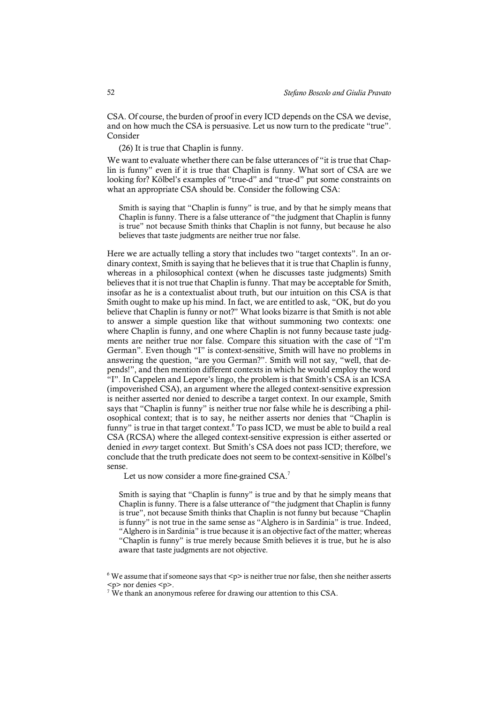CSA. Of course, the burden of proof in every ICD depends on the CSA we devise, and on how much the CSA is persuasive. Let us now turn to the predicate "true". Consider

(26) It is true that Chaplin is funny.

We want to evaluate whether there can be false utterances of "it is true that Chaplin is funny" even if it is true that Chaplin is funny. What sort of CSA are we looking for? Kölbel's examples of "true-d" and "true-d" put some constraints on what an appropriate CSA should be. Consider the following CSA:

Smith is saying that "Chaplin is funny" is true, and by that he simply means that Chaplin is funny. There is a false utterance of "the judgment that Chaplin is funny is true" not because Smith thinks that Chaplin is not funny, but because he also believes that taste judgments are neither true nor false.

Here we are actually telling a story that includes two "target contexts". In an ordinary context, Smith is saying that he believes that it is true that Chaplin is funny, whereas in a philosophical context (when he discusses taste judgments) Smith believes that it is not true that Chaplin is funny. That may be acceptable for Smith, insofar as he is a contextualist about truth, but our intuition on this CSA is that Smith ought to make up his mind. In fact, we are entitled to ask, "OK, but do you believe that Chaplin is funny or not?" What looks bizarre is that Smith is not able to answer a simple question like that without summoning two contexts: one where Chaplin is funny, and one where Chaplin is not funny because taste judgments are neither true nor false. Compare this situation with the case of "I'm German". Even though "I" is context-sensitive, Smith will have no problems in answering the question, "are you German?". Smith will not say, "well, that depends!", and then mention different contexts in which he would employ the word "I". In Cappelen and Lepore's lingo, the problem is that Smith's CSA is an ICSA (impoverished CSA), an argument where the alleged context-sensitive expression is neither asserted nor denied to describe a target context. In our example, Smith says that "Chaplin is funny" is neither true nor false while he is describing a philosophical context; that is to say, he neither asserts nor denies that "Chaplin is funny" is true in that target context.<sup>6</sup> To pass ICD, we must be able to build a real CSA (RCSA) where the alleged context-sensitive expression is either asserted or denied in *every* target context. But Smith's CSA does not pass ICD; therefore, we conclude that the truth predicate does not seem to be context-sensitive in Kölbel's sense.

Let us now consider a more fine-grained CSA.<sup>7</sup>

Smith is saying that "Chaplin is funny" is true and by that he simply means that Chaplin is funny. There is a false utterance of "the judgment that Chaplin is funny is true", not because Smith thinks that Chaplin is not funny but because "Chaplin is funny" is not true in the same sense as "Alghero is in Sardinia" is true. Indeed, "Alghero is in Sardinia" is true because it is an objective fact of the matter; whereas "Chaplin is funny" is true merely because Smith believes it is true, but he is also aware that taste judgments are not objective.

 $6$  We assume that if someone says that  $\langle p \rangle$  is neither true nor false, then she neither asserts <p> nor denies <p>.

<sup>&</sup>lt;sup>7</sup> We thank an anonymous referee for drawing our attention to this CSA.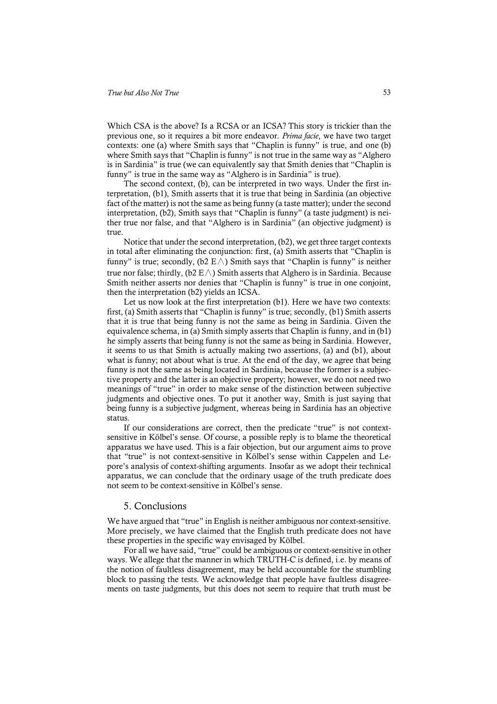Which CSA is the above? Is a RCSA or an ICSA? This story is trickier than the previous one, so it requires a bit more endeavor. *Prima facie*, we have two target contexts: one (a) where Smith says that "Chaplin is funny" is true, and one (b) where Smith says that "Chaplin is funny" is not true in the same way as "Alghero is in Sardinia" is true (we can equivalently say that Smith denies that "Chaplin is funny" is true in the same way as "Alghero is in Sardinia" is true).

The second context, (b), can be interpreted in two ways. Under the first interpretation, (b1), Smith asserts that it is true that being in Sardinia (an objective fact of the matter) is not the same as being funny (a taste matter); under the second interpretation, (b2), Smith says that "Chaplin is funny" (a taste judgment) is neither true nor false, and that "Alghero is in Sardinia" (an objective judgment) is true.

Notice that under the second interpretation, (b2), we get three target contexts in total after eliminating the conjunction: first, (a) Smith asserts that "Chaplin is funny" is true; secondly, (b2 E $\wedge$ ) Smith says that "Chaplin is funny" is neither true nor false; thirdly, (b2 E $\land$ ) Smith asserts that Alghero is in Sardinia. Because Smith neither asserts nor denies that "Chaplin is funny" is true in one conjoint, then the interpretation (b2) yields an ICSA.

Let us now look at the first interpretation (b1). Here we have two contexts: first, (a) Smith asserts that "Chaplin is funny" is true; secondly, (b1) Smith asserts that it is true that being funny is not the same as being in Sardinia. Given the equivalence schema, in (a) Smith simply asserts that Chaplin is funny, and in (b1) he simply asserts that being funny is not the same as being in Sardinia. However, it seems to us that Smith is actually making two assertions, (a) and (b1), about what is funny; not about what is true. At the end of the day, we agree that being funny is not the same as being located in Sardinia, because the former is a subjective property and the latter is an objective property; however, we do not need two meanings of "true" in order to make sense of the distinction between subjective judgments and objective ones. To put it another way, Smith is just saying that being funny is a subjective judgment, whereas being in Sardinia has an objective status.

If our considerations are correct, then the predicate "true" is not contextsensitive in Kölbel's sense. Of course, a possible reply is to blame the theoretical apparatus we have used. This is a fair objection, but our argument aims to prove that "true" is not context-sensitive in Kölbel's sense within Cappelen and Lepore's analysis of context-shifting arguments. Insofar as we adopt their technical apparatus, we can conclude that the ordinary usage of the truth predicate does not seem to be context-sensitive in Kölbel's sense.

#### 5. Conclusions

We have argued that "true" in English is neither ambiguous nor context-sensitive. More precisely, we have claimed that the English truth predicate does not have these properties in the specific way envisaged by Kölbel.

For all we have said, "true" could be ambiguous or context-sensitive in other ways. We allege that the manner in which TRUTH-C is defined, i.e. by means of the notion of faultless disagreement, may be held accountable for the stumbling block to passing the tests. We acknowledge that people have faultless disagreements on taste judgments, but this does not seem to require that truth must be